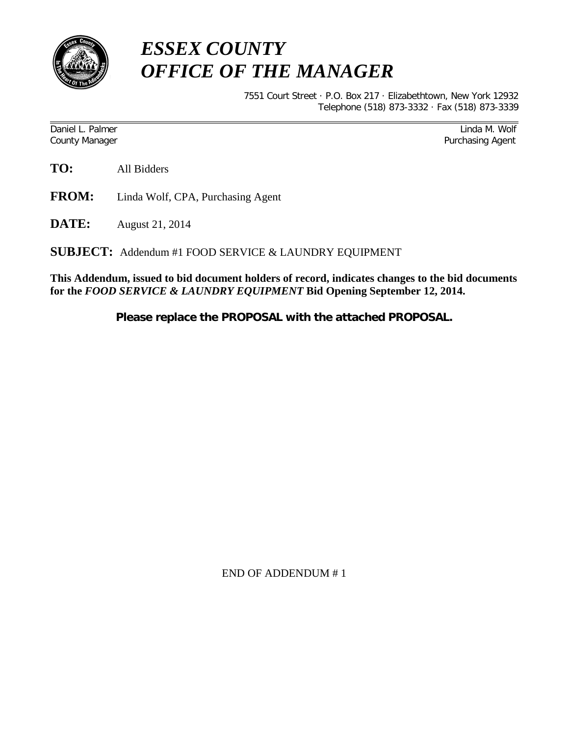

## *ESSEX COUNTY OFFICE OF THE MANAGER*

7551 Court Street · P.O. Box 217 · Elizabethtown, New York 12932 Telephone (518) 873-3332 · Fax (518) 873-3339

Daniel L. Palmer National According to the Contract of Contract of Contract of Contract of Contract of Contract of Contract of Contract of Contract of Contract of Contract of Contract of Contract of Contract of Contract of County Manager **Purchasing Agent** County Manager **Purchasing Agent** County Manager

**TO:** All Bidders

- **FROM:** Linda Wolf, CPA, Purchasing Agent
- **DATE:** August 21, 2014

**SUBJECT:** Addendum #1 FOOD SERVICE & LAUNDRY EQUIPMENT

**This Addendum, issued to bid document holders of record, indicates changes to the bid documents for the** *FOOD SERVICE & LAUNDRY EQUIPMENT* **Bid Opening September 12, 2014.**

**Please replace the PROPOSAL with the attached PROPOSAL.**

END OF ADDENDUM # 1